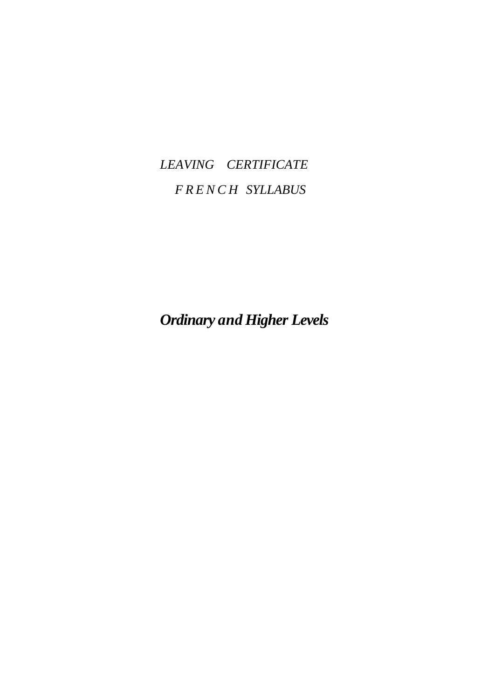## *LEAVING CERTIFICATE F R E N C H SYLLABUS*

*Ordinary and Higher Levels*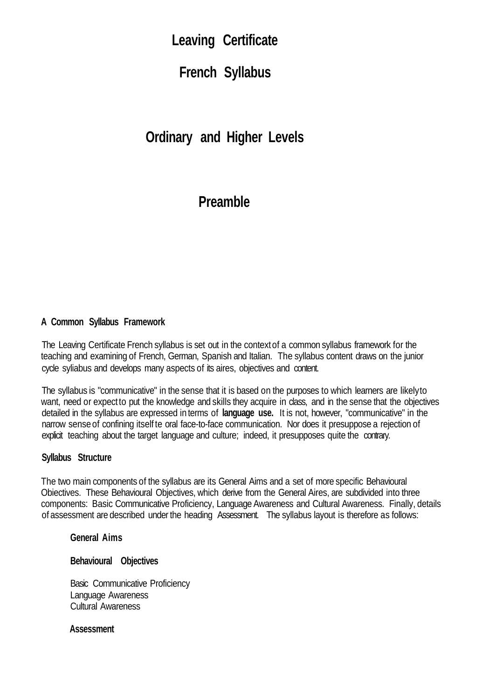## **Leaving Certificate**

**French Syllabus**

**Ordinary and Higher Levels**

## **Preamble**

### **A Common Syllabus Framework**

The Leaving Certificate French syllabus is set out in the contextof a common syllabus framework for the teaching and examining of French, German, Spanish and Italian. The syllabus content draws on the junior cycle syliabus and develops many aspects of its aires, objectives and content.

The syllabus is "communicative" in the sense that it is based on the purposes to which learners are likelyto want, need or expect to put the knowledge and skills they acquire in class, and in the sense that the objectives detailed in the syllabus are expressed in terms of **language use.** It is not, however, "communicative" in the narrow senseof confining itself te oral face-to-face communication. Nor does it presuppose a rejection of explicit teaching about the target language and culture; indeed, it presupposes quite the contrary.

#### **Syllabus Structure**

The two main components of the syllabus are its General Aims and a set of more specific Behavioural Obiectives. These Behavioural Objectives, which derive from the General Aires, are subdivided into three components: Basic Communicative Proficiency, Language Awareness and Cultural Awareness. Finally, details of assessment are described under the heading Assessment. The syllabus layout is therefore as follows:

#### **General Aims**

#### **Behavioural Objectives**

Basic Communicative Proficiency Language Awareness Cultural Awareness

**Assessment**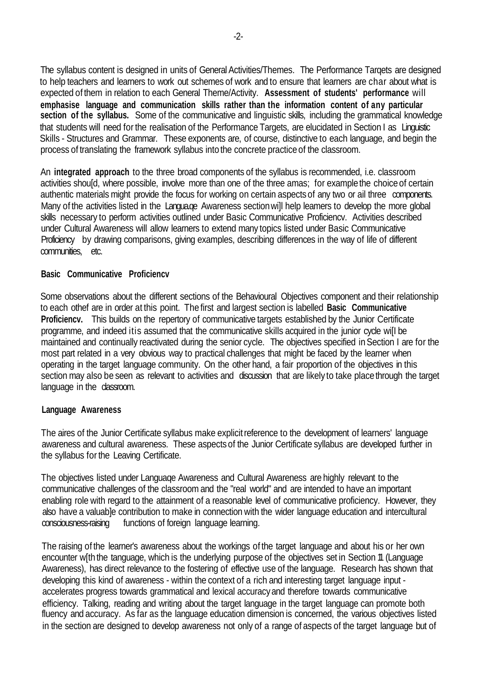The syllabus content is designed in units of General Activities/Themes. The Performance Tarqets are designed to help teachers and learners to work out schemes of work and to ensure that learners are char about what is expected of them in relation to each General Theme/Activity. **Assessment of students' performance** will **emphasise language and communication skills rather than the information content of any particular section of the syllabus.** Some of the communicative and linguistic skills, including the grammatical knowledge that students will need for the realisation of the Performance Targets, are elucidated in Section I as Linguistic Skills - Structures and Grammar. These exponents are, of course, distinctive to each language, and begin the process of translating the framework syllabus into the concrete practice of the classroom.

An **integrated approach** to the three broad components of the syllabus is recommended, i.e. classroom activities should, where possible, involve more than one of the three amas; for example the choice of certain authentic materials might provide the focus for working on certain aspectsof any two or ail three components. Many of the activities listed in the Langua.ge Awareness section will help leamers to develop the more global skills necessary to perform activities outlined under Basic Communicative Proficiencv. Activities described under Cultural Awareness will allow learners to extend many topics listed under Basic Communicative Proficiency by drawing comparisons, giving examples, describing differences in the way of life of different communities, etc.

#### **Basic Communicative Proficiencv**

Some observations about the different sections of the Behavioural Objectives component and their relationship to each othef are in order at this point. The first and largest section is labelled **Basic Communicative Proficiencv.** This builds on the repertory of communicative targets established by the Junior Certificate programme, and indeed itis assumed that the communicative skills acquired in the junior cycle wi[I be maintained and continually reactivated during the senior cycle. The objectives specified in Section I are for the most part related in a very obvious way to practical challenges that might be faced by the learner when operating in the target language community. On the other hand, a fair proportion of the objectives in this section may also be seen as relevant to activities and discussion that are likely to take place through the target language in the classroom.

#### **Language Awareness**

The aires of the Junior Certificate syllabus make explicit reference to the development of learners' language awareness and cultural awareness. These aspectsof the Junior Certificate syllabus are developed further in the syllabus for the Leaving Certificate.

The objectives listed under Languaqe Awareness and Cultural Awareness are highly relevant to the communicative challenges of the classroom and the "real world" and are intended to have an important enabling role with regard to the attainment of a reasonable level of communicative proficiency. However, they also have a valuable contribution to make in connection with the wider language education and intercultural consciousness-raising functions of foreign language learning.

The raising of the learner's awareness about the workings of the target language and about his or her own encounter w[th the tanguage, which is the underlying purpose of the objectives set in Section 11 (Language Awareness), has direct relevance to the fostering of effective use of the language. Research has shown that developing this kind of awareness - within the context of a rich and interesting target language input accelerates progress towards grammatical and lexical accuracyand therefore towards communicative efficiency. Talking, reading and writing about the target language in the target language can promote both fluency and accuracy. As far as the language education dimension is concerned, the various objectives listed in the section are designed to develop awareness not only of a range of aspects of the target language but of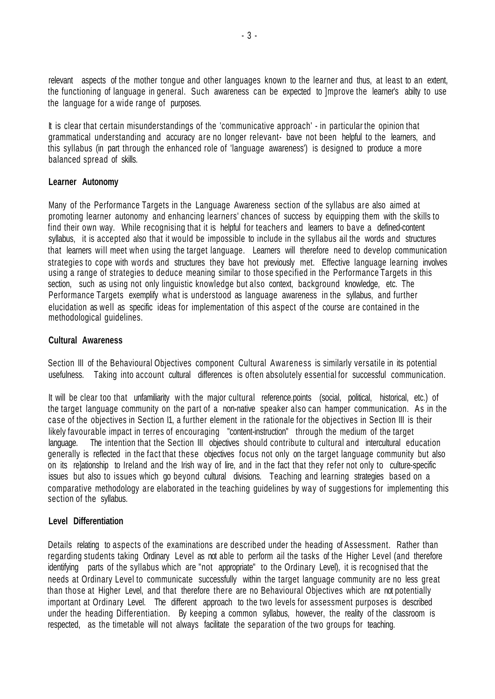relevant aspects of the mother tongue and other languages known to the learner and thus, at least to an extent, the functioning of language in general. Such awareness can be expected to ]mprove the learner's abilty to use the language for a wide range of purposes.

It is clear that certain misunderstandings of the 'communicative approach' - in particular the opinion that grammatical understanding and accuracy are no longer relevant- bave not been helpful to the learners, and this syllabus (in part through the enhanced role of 'language awareness') is designed to produce a more balanced spread of skills.

#### **Learner Autonomy**

Many of the Performance Targets in the Language Awareness section of the syllabus are also aimed at promoting learner autonomy and enhancing learners' chances of success by equipping them with the skills to find their own way. While recognising that it is helpful for teachers and learners to bave a defined-content syllabus, it is accepted also that it would be impossible to include in the syllabus ail the words and structures that learners will meet when using the target language. Learners will therefore need to develop communication strategies to cope with words and structures they bave hot previously met. Effective language learning involves using a range of strategies to deduce meaning similar to those specified in the Performance Targets in this section, such as using not only linguistic knowledge but also context, background knowledge, etc. The Performance Targets exemplify what is understood as language awareness in the syllabus, and further elucidation as well as specific ideas for implementation of this aspect of the course are contained in the methodological guidelines.

#### **Cultural Awareness**

Section III of the Behavioural Objectives component Cultural Awareness is similarly versatile in its potential usefulness. Taking into account cultural differences is often absolutely essential for successful communication.

It will be clear too that unfamiliarity with the major cultural reference.points (social, political, historical, etc.) of the target language community on the part of a non-native speaker also can hamper communication. As in the case of the objectives in Section I1, a further element in the rationale for the objectives in Section III is their likely favourable impact in terres of encouraging "content-instruction" through the medium of the target language. The intention that the Section III objectives should contribute to cultural and intercultural education generally is reflected in the fact that these objectives focus not only on the target language community but also on its re]ationship to Ireland and the Irish way of lire, and in the fact that they refer not only to culture-specific issues but also to issues which go beyond cultural divisions. Teaching and learning strategies based on a comparative methodology are elaborated in the teaching guidelines by way of suggestions for implementing this section of the syllabus.

#### **Level Differentiation**

Details relating to aspects of the examinations are described under the heading of Assessment. Rather than regarding students taking Ordinary Level as not able to perform ail the tasks of the Higher Level (and therefore identifying parts of the syllabus which are "not appropriate" to the Ordinary Level), it is recognised that the needs at Ordinary Level to communicate successfully within the target language community are no less great than those at Higher Level, and that therefore there are no Behavioural Objectives which are not potentially important at Ordinary Level. The different approach to the two levels for assessment purposes is described under the heading Differentiation. By keeping a common syllabus, however, the reality of the classroom is respected, as the timetable will not always facilitate the separation of the two groups for teaching.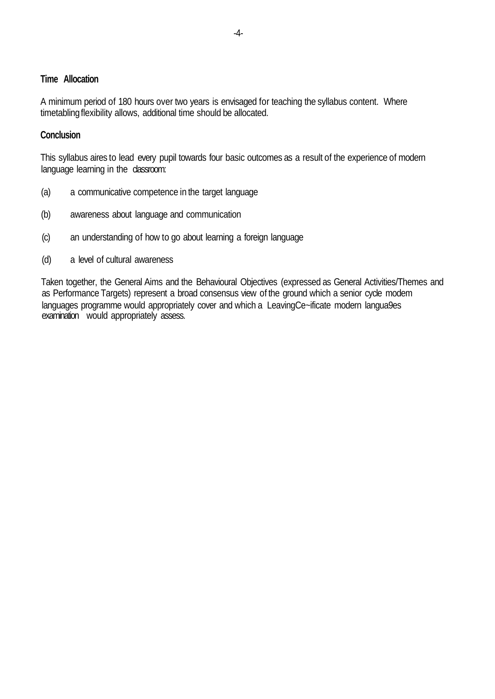#### **Time Allocation**

A minimum period of 180 hours over two years is envisaged for teaching the syllabus content. Where timetabling flexibility allows, additional time should be allocated.

#### **Conclusion**

This syllabus aires to lead every pupil towards four basic outcomes as a result of the experience of modern language learning in the classroom:

- (a) a communicative competence in the target language
- (b) awareness about language and communication
- (c) an understanding of how to go about learning a foreign language
- (d) a level of cultural awareness

Taken together, the General Aims and the Behavioural Objectives (expressed as General Activities/Themes and as Performance Targets) represent a broad consensus view of the ground which a senior cycle modem languages programme would appropriately cover and which a LeavingCe~ificate modern langua9es examination would appropriately assess.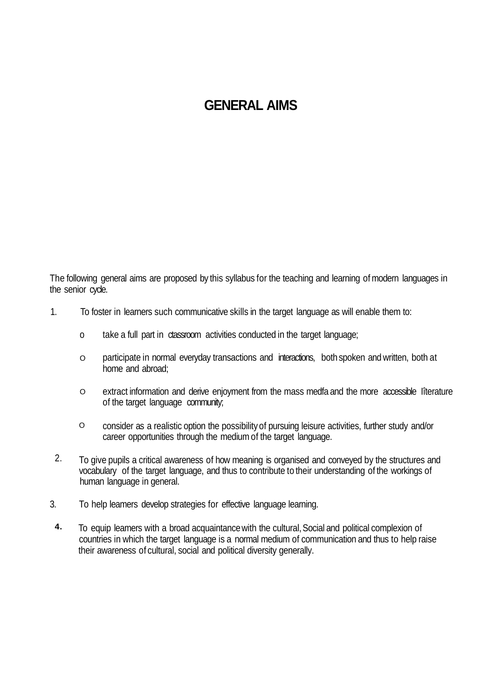## **GENERAL AIMS**

The following general aims are proposed by this syllabus for the teaching and learning of modern languages in the senior cycle.

- 1. To foster in learners such communicative skills in the target language as will enable them to:
	- o take a full part in ctassroom activities conducted in the target language;
	- O participate in normal everyday transactions and interactions, bothspoken and written, both at home and abroad;
	- O extract information and derive enjoyment from the mass medfa and the more accessible Iîterature of the target language community;
	- O consider as a realistic option the possibilityof pursuing leisure activities, further study and/or career opportunities through the medium of the target language.
- 2. To give pupils a critical awareness of how meaning is organised and conveyed by the structures and vocabulary of the target language, and thus to contribute to their understanding of the workings of human language in general.
- 3. To help leamers develop strategies for effective language learning.
- **4.** To equip leamers with a broad acquaintancewith the cultural,Social and political complexion of countries in which the target language is a normal medium of communication and thus to help raise their awareness of cultural, social and political diversity generally.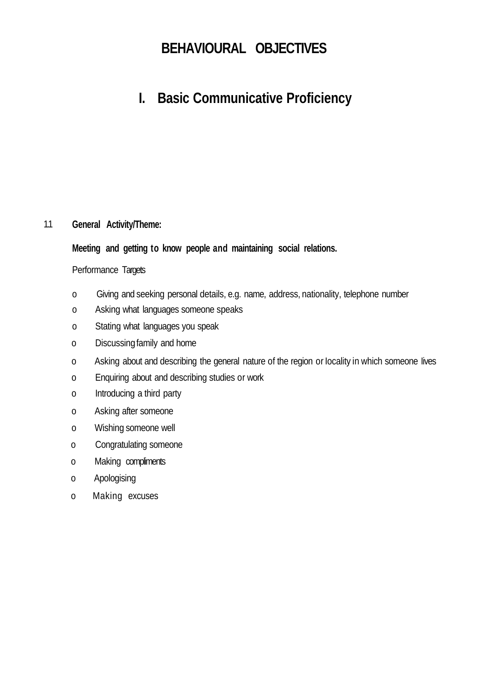## **BEHAVIOURAL OBJECTIVES**

## **I. Basic Communicative Proficiency**

#### 1.1 **General Activity/Theme:**

### **Meeting and getting to know people and maintaining social relations.**

#### Performance Targets

- o Giving and seeking personal details, e.g. name, address, nationality, telephone number
- o Asking what languages someone speaks
- o Stating what languages you speak
- o Discussingfamily and home
- o Asking about and describing the general nature of the region or Iocality in which someone Iives
- o Enquiring about and describing studies or work
- o Introducing a third party
- o Asking after someone
- o Wishing someone well
- o Congratulating someone
- o Making compliments
- o Apologising
- o Making excuses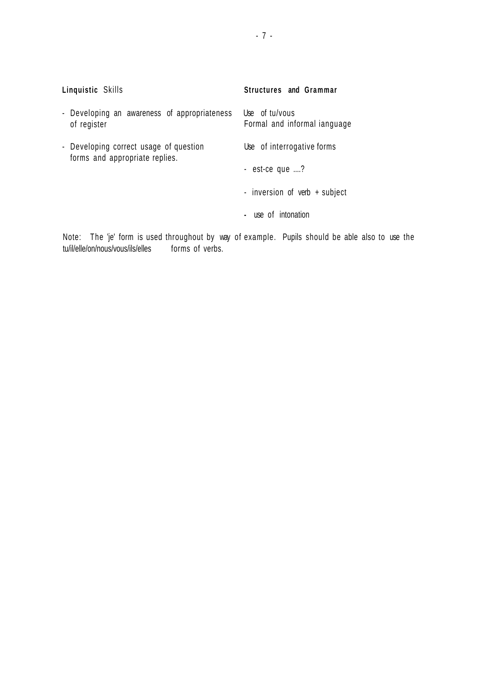| Linquistic Skills                                                                             | <b>Structures</b> and Grammar                  |
|-----------------------------------------------------------------------------------------------|------------------------------------------------|
| - Developing an awareness of appropriateness<br>of register                                   | Use of tu/vous<br>Formal and informal ianguage |
| - Developing correct usage of question<br>forms and appropriate replies.                      | Use of interrogative forms                     |
|                                                                                               | - est-ce que ?                                 |
|                                                                                               | - inversion of verb + subject                  |
|                                                                                               | - use of intonation                            |
| Alatar  Tha lial famo is rraad thuarrabarrt britting af arramedia  Drugla abarrilal ha abla . |                                                |

Note: The 'je' form is used throughout by way of example. Pupils should be able also to use the tu/il/elle/on/nous/vous/ils/elles forms of verbs.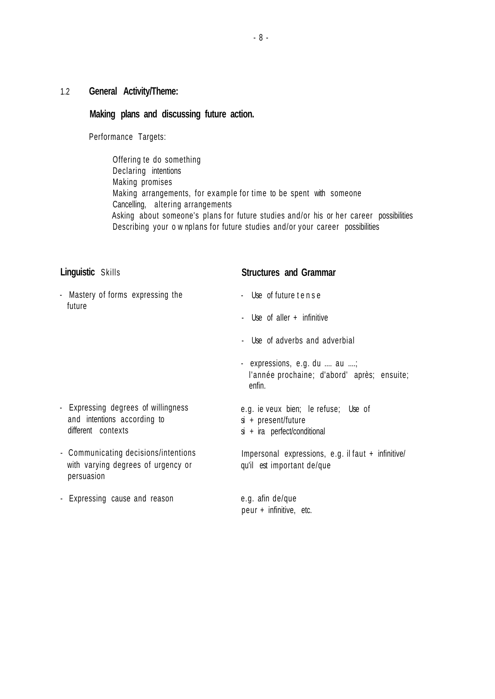### 1.2 **General Activity/Theme:**

#### **Making plans and discussing future action.**

Performance Targets:

Offering te do something Declaring intentions Making promises Making arrangements, for example for time to be spent with someone Cancelling, altering arrangements Asking about someone's plans for future studies and/or his or her career possibilities Describing your o w nplans for future studies and/or your career possibilities

| <b>Linguistic Skills</b>                                                                 | <b>Structures and Grammar</b>                                                                 |
|------------------------------------------------------------------------------------------|-----------------------------------------------------------------------------------------------|
| - Mastery of forms expressing the<br>future                                              | - Use of future tense                                                                         |
|                                                                                          | - Use of aller + infinitive                                                                   |
|                                                                                          | - Use of adverbs and adverbial                                                                |
|                                                                                          | - expressions, e.g. du  au ;<br>l'année prochaine; d'abord' après; ensuite;<br>enfin.         |
| - Expressing degrees of willingness<br>and intentions according to<br>different contexts | e.g. ie veux bien; le refuse; Use of<br>$si + present/fature$<br>si + ira perfect/conditional |
| - Communicating decisions/intentions<br>with varying degrees of urgency or<br>persuasion | Impersonal expressions, e.g. il faut + infinitive/<br>qu'il est important de/que              |
| - Expressing cause and reason                                                            | e.g. afin de/que<br>peur + infinitive, etc.                                                   |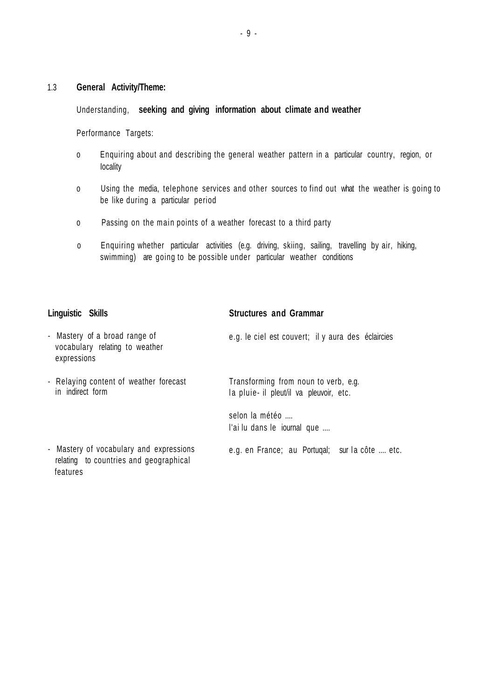#### 1.3 **General Activity/Theme:**

#### Understanding, **seeking and giving information about climate and weather**

Performance Targets:

- o Enquiring about and describing the general weather pattern in a particular country, region, or Iocality
- o Using the media, telephone services and other sources to find out what the weather is going to be like during a particular period
- o Passing on the main points of a weather forecast to a third party
- o Enquiring whether particular activities (e.g. driving, skiing, sailing, travelling by air, hiking, swimming) are going to be possible under particular weather conditions

#### **Linguistic Skills**

features

#### **Structures and Grammar**

- Mastery of a broad range of vocabulary relating to weather expressions - Relaying content of weather forecast in indirect form - Mastery of vocabulary and expressions relating to countries and geographical e.g. le ciel est couvert; il y aura des éclaircies Transforming from noun to verb, e.g. la pluie- il pleut/il va pleuvoir, etc. selon la météo .... l'ai lu dans le iournal que .... e.g. en France; au Portugal; sur la côte .... etc.

- 9 -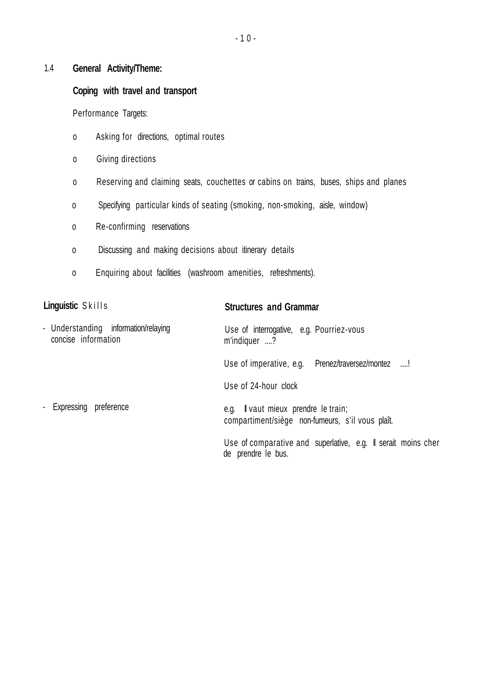#### 1.4 **General Activity/Theme:**

#### **Coping with travel and transport**

Performance Targets:

- o Asking for directions, optimal routes
- o Giving directions
- o Reserving and claiming seats, couchettes or cabins on trains, buses, ships and planes
- o Specifying particular kinds of seating (smoking, non-smoking, aisle, window)
- o Re-confirming reservations
- o Discussing and making decisions about itinerary details
- o Enquiring about facilities (washroom amenities, refreshments).

### **Linguistic** Skills - Understanding information/relaying concise information - Expressing preference **Structures and Grammar** Use of interrogative, e.g. Pourriez-vous m'indiquer ....? Use of imperative, e.g. Prenez/traversez/montez ....! Use of 24-hour clock e.g. Il vaut mieux prendre le train; compartiment/siège non-fumeurs, s'il vous plaît. Use of comparative and superlative, e.g. Il serait moins cher de prendre le bus.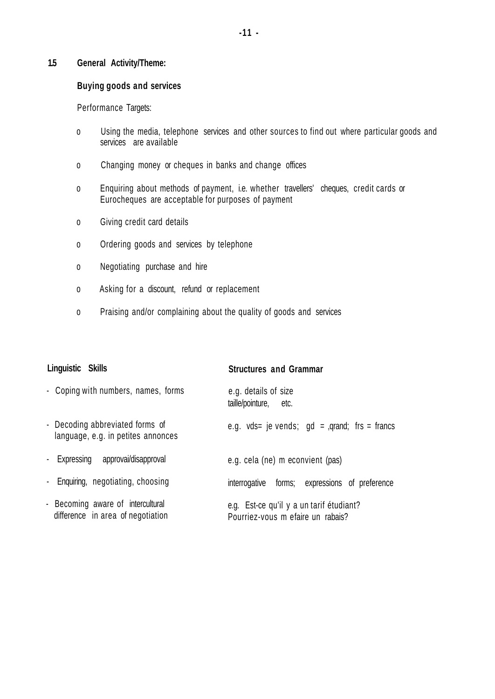#### **1.5 General Activity/Theme:**

#### **Buying goods and services**

Performance Targets:

- o Using the media, telephone services and other sources to find out where particular goods and services are available
- o Changing money or cheques in banks and change offices
- o Enquiring about methods of payment, i.e. whether travellers' cheques, credit cards or Eurocheques are acceptable for purposes of payment
- o Giving credit card details
- o Ordering goods and services by telephone
- o Negotiating purchase and hire
- o Asking for a discount, refund or replacement
- o Praising and/or complaining about the quality of goods and services

| Linguistic Skills                                                      | <b>Structures and Grammar</b>                                                 |
|------------------------------------------------------------------------|-------------------------------------------------------------------------------|
| - Coping with numbers, names, forms                                    | e.g. details of size<br>taille/pointure,<br>etc.                              |
| - Decoding abbreviated forms of<br>language, e.g. in petites annonces  | e.g. vds= je vends; $gd =$ , qrand; frs = francs                              |
| - Expressing approvai/disapproval                                      | e.g. cela (ne) m econvient (pas)                                              |
| - Enquiring, negotiating, choosing                                     | interrogative forms; expressions of preference                                |
| - Becoming aware of intercultural<br>difference in area of negotiation | e.g. Est-ce qu'il y a un tarif étudiant?<br>Pourriez-vous m efaire un rabais? |

#### **-11 -**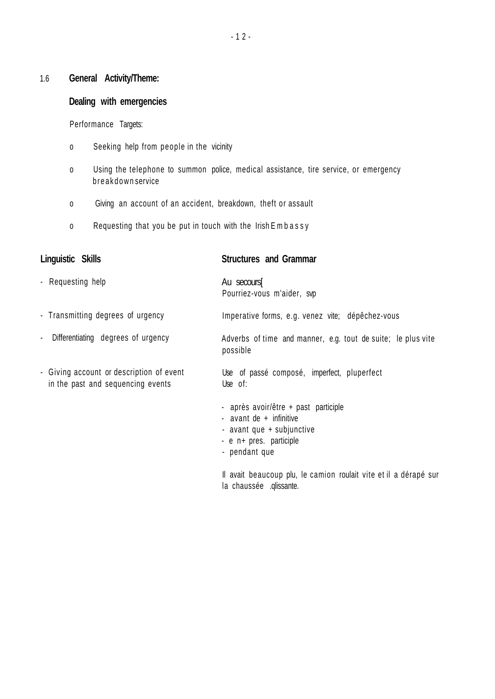## 1.6 **General Activity/Theme:**

### **Dealing with emergencies**

Performance Targets:

- o Seeking help from people in the vicinity
- o Using the telephone to summon police, medical assistance, tire service, or emergency b r e a k d o w n service
- o Giving an account of an accident, breakdown, theft or assault
- o Requesting that you be put in touch with the Irish Embassy

| Linguistic Skills                                                             | <b>Structures and Grammar</b>                                                                                                            |
|-------------------------------------------------------------------------------|------------------------------------------------------------------------------------------------------------------------------------------|
| - Requesting help                                                             | Au secours<br>Pourriez-vous m'aider, svp                                                                                                 |
| - Transmitting degrees of urgency                                             | Imperative forms, e.g. venez vite; dépêchez-vous                                                                                         |
| Differentiating degrees of urgency<br>$\blacksquare$                          | Adverbs of time and manner, e.g. tout de suite; le plus vite<br>possible                                                                 |
| - Giving account or description of event<br>in the past and sequencing events | Use of passé composé, imperfect, pluperfect<br>Use of:                                                                                   |
|                                                                               | - après avoir/être + past participle<br>- avant de + infinitive<br>- avant que + subjunctive<br>- e n+ pres. participle<br>- pendant que |

Il avait beaucoup plu, le camion roulait vite et il a dérapé sur la chaussée .qlissante.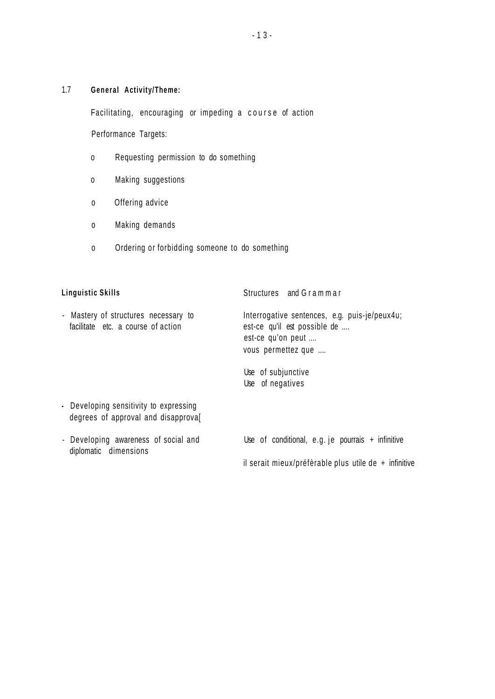### 1.7 **General Activity/Theme:**

Facilitating, encouraging or impeding a course of action

Performance Targets:

- o Requesting permission to do something
- o Making suggestions
- o Offering advice
- o Making demands
- o Ordering or forbidding someone to do something

| <b>Linguistic Skills</b>                                                      | Structures and Grammar                                                                                                                         |  |
|-------------------------------------------------------------------------------|------------------------------------------------------------------------------------------------------------------------------------------------|--|
| - Mastery of structures necessary to<br>facilitate etc. a course of action    | Interrogative sentences, e.g. puis-je/peux4u;<br>est-ce qu'il est possible de<br>est-ce qu'on peut<br>vous permettez que<br>Use of subjunctive |  |
|                                                                               | Use of negatives                                                                                                                               |  |
| - Developing sensitivity to expressing<br>degrees of approval and disapproval |                                                                                                                                                |  |
| - Developing awareness of social and<br>diplomatic dimensions                 | Use of conditional, $e.g.$ je pourrais + infinitive                                                                                            |  |
|                                                                               | il serait mieux/préfèrable plus utile de $+$ infinitive                                                                                        |  |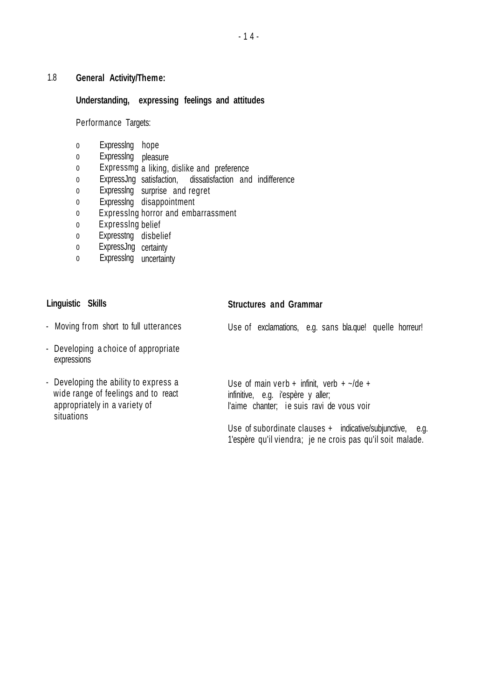### 1.8 **General Activity/Theme:**

### **Understanding, expressing feelings and attitudes**

Performance Targets:

- 0 Expresslng hope
- 0 Expresslng pleasure
- 0 Expressmg a liking, dislike and preference
- $\mathbf{0}$ ExpressJng satisfaction, dissatisfaction and indifference
- 0 Expresslng surprise and regret
- 0 Expresslng disappointment
- 0 Expresslng horror and embarrassment
- $\overline{0}$ Expresslng belief
- 0 Expresstng disbelief
- $\mathbf{0}$ ExpressJng certainty
- $\mathbf{0}$ Expresslng uncertainty

## **Linguistic Skills**

#### **Structures and Grammar**

- Moving from short to full utterances
- Developing a choice of appropriate expressions
- Developing the ability to express a wide range of feelings and to react appropriately in a variety of situations

Use of exclamations, e.g. sans bla.que! quelle horreur!

Use of main verb + infinit, verb +  $\sim$ /de + infinitive, e.g. i'espère y aller; l'aime chanter; ie suis ravi de vous voir

Use of subordinate clauses + indicative/subjunctive, e.g. 1'espère qu'il viendra; je ne crois pas qu'il soit malade.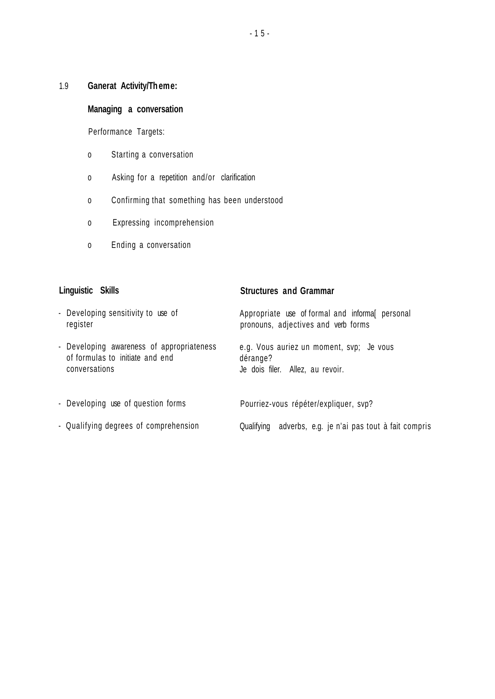1.9 **Ganerat Activity/Theme:**

### **Managing a conversation**

Performance Targets:

- o Starting a conversation
- o Asking for a repetition and/or clarification
- o Confirming that something has been understood
- o Expressing incomprehension
- o Ending a conversation

| Linguistic Skills                                                                             | <b>Structures and Grammar</b>                                                            |
|-----------------------------------------------------------------------------------------------|------------------------------------------------------------------------------------------|
| - Developing sensitivity to use of<br>register                                                | Appropriate use of formal and informal personal<br>pronouns, adjectives and verb forms   |
| - Developing awareness of appropriateness<br>of formulas to initiate and end<br>conversations | e.g. Vous auriez un moment, svp; Je vous<br>dérange?<br>Je dois filer. Allez, au revoir. |
| - Developing use of question forms                                                            | Pourriez-vous répéter/expliquer, svp?                                                    |
| - Qualifying degrees of comprehension                                                         | adverbs, e.g. je n'ai pas tout à fait compris<br>Qualifying                              |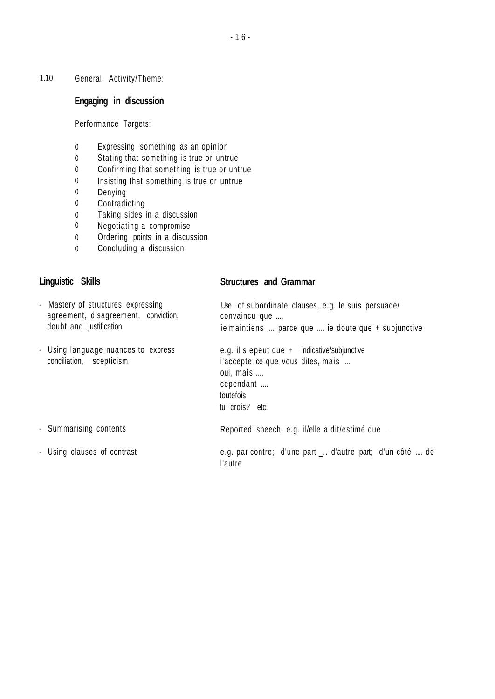1.10 General Activity/Theme:

### **Engaging in discussion**

Performance Targets:

- 0 Expressing something as an opinion
- 0 Stating that something is true or untrue
- 0 Confirming that something is true or untrue
- 0 Insisting that something is true or untrue
- 0 Denying
- 0 Contradicting
- 0 Taking sides in a discussion
- 0 Negotiating a compromise
- 0 Ordering points in a discussion
- 0 Concluding a discussion

# **Linguistic Skills**

#### **Structures and Grammar**

| - Mastery of structures expressing<br>agreement, disagreement, conviction,<br>doubt and justification | Use of subordinate clauses, e.g. le suis persuadé/<br>convaincu que<br>ie maintiens  parce que  ie doute que + subjunctive                 |  |
|-------------------------------------------------------------------------------------------------------|--------------------------------------------------------------------------------------------------------------------------------------------|--|
| - Using language nuances to express<br>conciliation, scepticism                                       | e.g. il s epeut que + indicative/subjunctive<br>i'accepte ce que vous dites, mais<br>oui, mais<br>cependant<br>toutefois<br>tu crois? etc. |  |
| - Summarising contents                                                                                | Reported speech, e.g. il/elle a dit/estimé que                                                                                             |  |
| - Using clauses of contrast                                                                           | e.g. par contre; d'une part  d'autre part; d'un côté  de<br>l'autre                                                                        |  |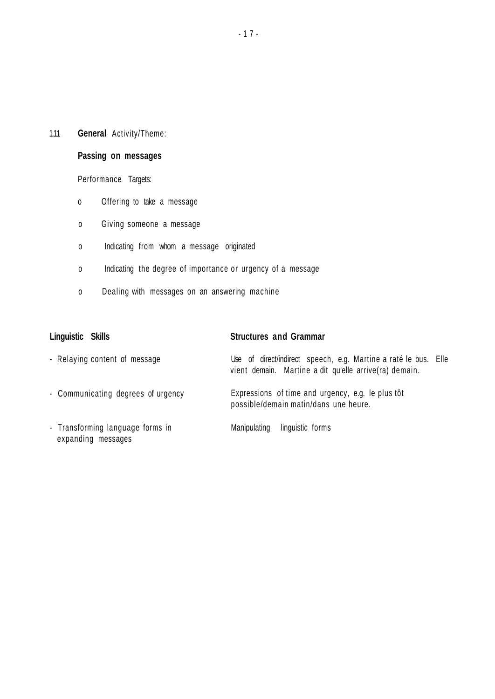### 1.11 **General** Activity/Theme:

### **Passing on messages**

Performance Targets:

- o Offering to take a message
- o Giving someone a message
- o Indicating from whom a message originated
- o Indicating the degree of importance or urgency of a message
- o Dealing with messages on an answering machine

| Linguistic Skills                                      | <b>Structures and Grammar</b>                                                                                             |
|--------------------------------------------------------|---------------------------------------------------------------------------------------------------------------------------|
| - Relaying content of message                          | Use of direct/indirect speech, e.g. Martine a raté le bus. Elle<br>vient demain. Martine a dit qu'elle arrive(ra) demain. |
| - Communicating degrees of urgency                     | Expressions of time and urgency, e.g. le plus tôt<br>possible/demain matin/dans une heure.                                |
| - Transforming language forms in<br>expanding messages | linguistic forms<br>Manipulating                                                                                          |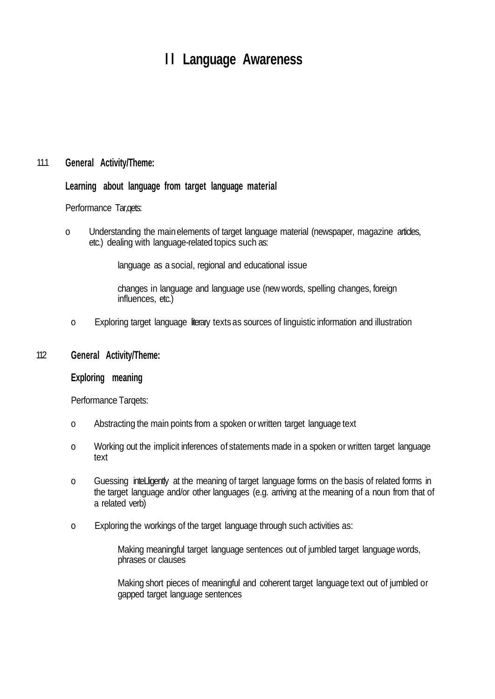## **l l Language Awareness**

#### 11.1 **General Activity/Theme:**

#### **Learning about language from target language material**

#### Performance Tar,qets:

o Understanding the mainelements of target language material (newspaper, magazine articles, etc.) dealing with language-related topics such as:

language as a social, regional and educational issue

changes in language and language use (new words, spelling changes, foreign influences, etc.)

o Exploring target language literary texts as sources of linguistic information and illustration

#### 112 **General Activity/Theme:**

#### **Exploring meaning**

Performance Tarqets:

- o Abstracting the main points from a spoken or written target language text
- o Working out the implicit inferences of statements made in a spoken or written target language text
- o Guessing intelligently at the meaning of target language forms on the basis of related forms in the target language and/or other languages (e.g. arriving at the meaning of a noun from that of a related verb)
- o Exploring the workings of the target language through such activities as:

Making meaningful target language sentences out of jumbled target language words, phrases or clauses

Making short pieces of meaningful and coherent target language text out of jumbled or gapped target language sentences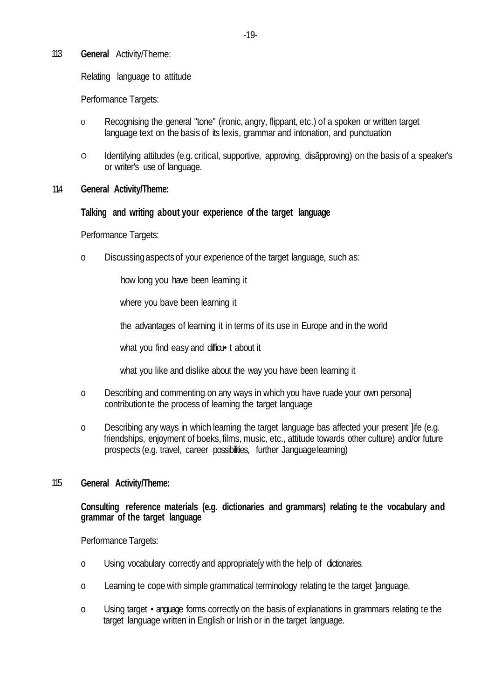#### 11.3 **General** Activity/Theme:

Relating language to attitude

Performance Targets:

- 0 Recognising the general "tone" (ironic, angry, flippant, etc.) of a spoken or written target language text on the basis of its lexis, grammar and intonation, and punctuation
- O Identifying attitudes (e.g. critical, supportive, approving, disãpproving) on the basis of a speaker's or writer's use of language.

#### 114 **General Activity/Theme:**

#### **Talking and writing about your experience of the target language**

#### Performance Targets:

o Discussingaspectsof your experience of the target language, such as:

how long you have been leaming it

where you bave been learning it

the advantages of learning it in terms of its use in Europe and in the world

what you find easy and difficu t about it

what you like and dislike about the way you have been learning it

- o Describing and commenting on any ways in which you have ruade your own persona] contributionte the process of learning the target language
- o Describing any ways in which learning the target language bas affected your present ]ife (e.g. friendships, enjoyment of boeks,films, music, etc., attitude towards other culture) and/or future prospects (e.g. travel, career possibilities, further Janguagelearning)

#### 11.5 **General Activity/Theme:**

#### **Consulting reference materials (e.g. dictionaries and grammars) relating te the vocabulary and grammar of the target language**

Performance Targets:

- o Using vocabulary correctly and appropriate[y with the help of dictionaries.
- o Leaming te cope with simple grammatical terminology relating te the target ]anguage.
- o Using target •anguage forms correctly on the basis of explanations in grammars relating te the target language written in English or Irish or in the target language.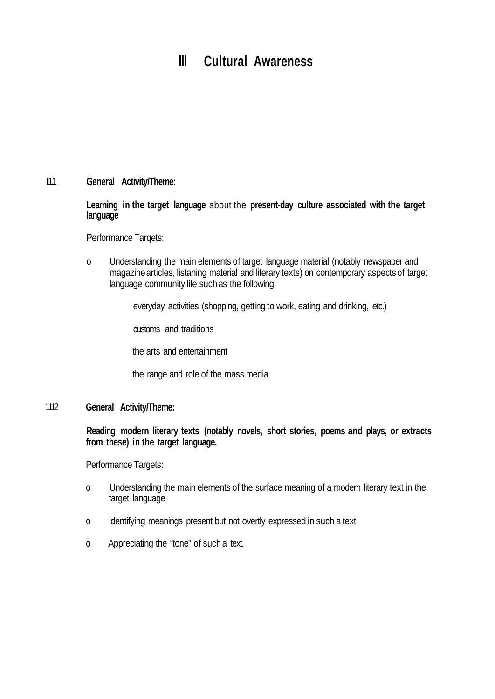## **III** Cultural Awareness

#### $II.1$ **General Activity/Theme:**

**Learning in the target language** about the **present-day culture associated with the target language**

Performance Tarqets:

o Understanding the main elements of target language material (notably newspaper and magazine articles, listaning material and literary texts) on contemporary aspects of target language community life such as the following:

everyday activities (shopping, getting to work, eating and drinking, etc.)

customs and traditions

the arts and entertainment

the range and role of the mass media

#### 1112 **General Activity/Theme:**

**Reading modern literary texts (notably novels, short stories, poems and plays, or extracts from these) in the target language.**

Performance Targets:

- o Understanding the main elements of the surface meaning of a modern literary text in the target language
- o identifying meanings present but not overtly expressed in such a text
- o Appreciating the "tone" of such a text.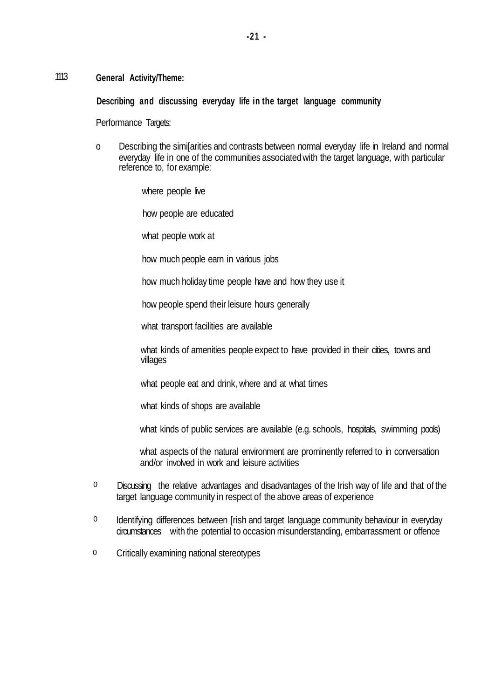#### 111.3 **General Activity/Theme:**

**Describing and discussing everyday life in the target language community**

Performance Targets:

o Describing the simi[arities and contrasts between normal everyday life in Ireland and normal everyday life in one of the communities associatedwith the target language, with particular reference to, for example:

where people live

how people are educated

what people work at

how much people earn in various jobs

how much holiday time people have and how they use it

how people spend their leisure hours generally

what transport facilities are available

what kinds of amenities people expect to have provided in their cities, towns and villages

what people eat and drink, where and at what times

what kinds of shops are available

what kinds of public services are available (e.g. schools, hospitals, swimming pools)

what aspects of the natural environment are prominently referred to in conversation and/or involved in work and leisure activities

- Discussing the relative advantages and disadvantages of the Irish way of life and that of the target language community in respect of the above areas of experience 0
- Identifying differences between [rish and target language community behaviour in everyday circumstances with the potential to occasion misunderstanding, embarrassment or offence 0
- Critically examining national stereotypes 0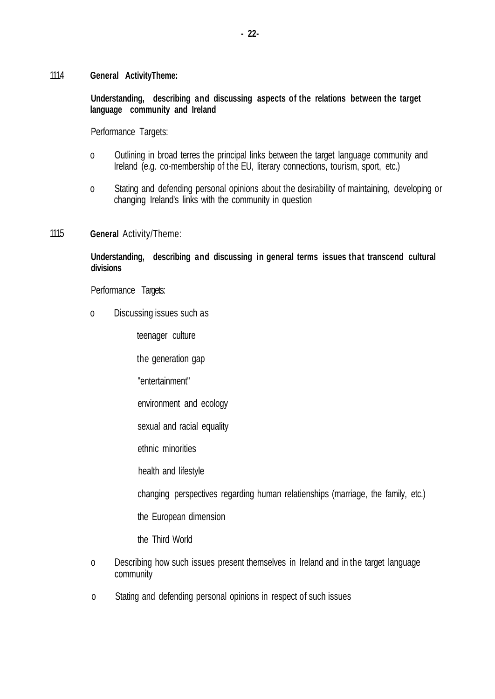111.4 **General ActivityTheme:**

> **Understanding, describing and discussing aspects of the relations between the target language community and Ireland**

Performance Targets:

- o Outlining in broad terres the principal links between the target language community and Ireland (e.g. co-membership of the EU, literary connections, tourism, sport, etc.)
- o Stating and defending personal opinions about the desirability of maintaining, developing or changing Ireland's links with the community in question
- 111.5 **General** Activity/Theme:

**Understanding, describing and discussing in general terms issues that transcend cultural divisions**

Performance Targets:

o Discussing issues such as

teenager culture

the generation gap

- "entertainment"
- environment and ecology
- sexual and racial equality
- ethnic minorities

health and lifestyle

changing perspectives regarding human relatienships (marriage, the family, etc.)

the European dimension

the Third World

- o Describing how such issues present themselves in Ireland and in the target language community
- o Stating and defending personal opinions in respect of such issues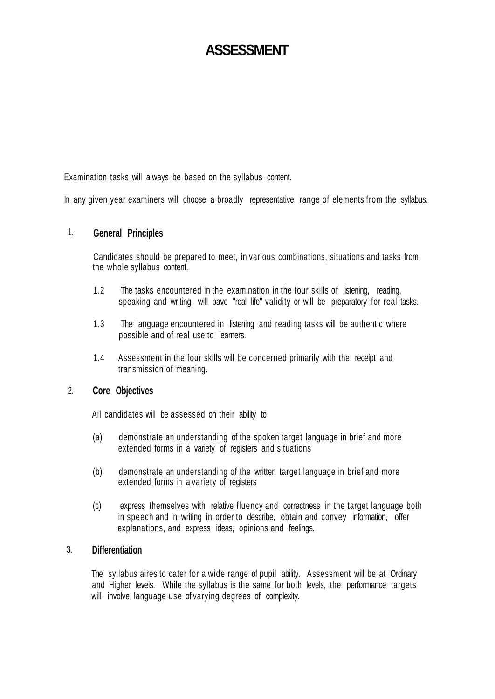## **ASSESSMENT**

Examination tasks will always be based on the syllabus content.

In any given year examiners will choose a broadly representative range of elements from the syllabus.

#### 1. **General Principles**

Candidates should be prepared to meet, in various combinations, situations and tasks from the whole syllabus content.

- 1.2 The tasks encountered in the examination in the four skills of listening, reading, speaking and writing, will bave "real life" validity or will be preparatory for real tasks.
- 1.3 The language encountered in listening and reading tasks will be authentic where possible and of real use to learners.
- 1.4 Assessment in the four skills will be concerned primarily with the receipt and transmission of meaning.

#### 2. **Core Objectives**

Ail candidates will be assessed on their ability to

- (a) demonstrate an understanding of the spoken target language in brief and more extended forms in a variety of registers and situations
- (b) demonstrate an understanding of the written target language in brief and more extended forms in a variety of registers
- (c) express themselves with relative fluency and correctness in the target language both in speech and in writing in order to describe, obtain and convey information, offer explanations, and express ideas, opinions and feelings.

#### 3. **Differentiation**

The syllabus aires to cater for a wide range of pupil ability. Assessment will be at Ordinary and Higher leveis. While the syllabus is the same for both levels, the performance targets will involve language use of varying degrees of complexity.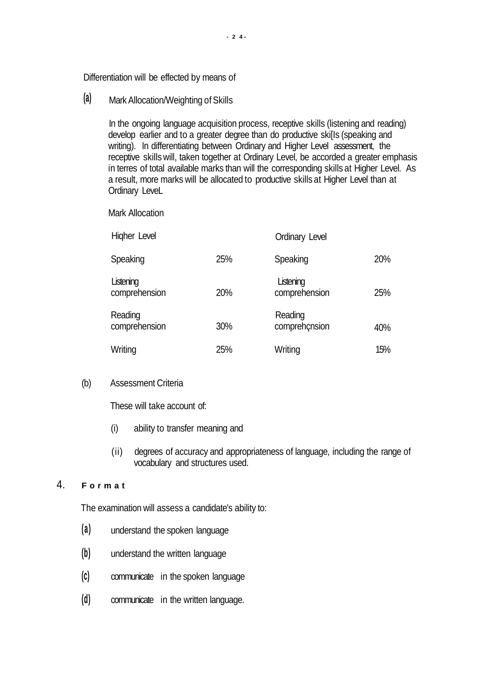Differentiation will be effected by means of

**(a)** Mark Allocation/Weighting ofSkills

In the ongoing language acquisition process, receptive skills (listening and reading) develop earlier and to a greater degree than do productive skills (speaking and writing). In differentiating between Ordinary and Higher Level assessment, the receptive skills will, taken together at Ordinary Level, be accorded a greater emphasis in terres of total available marks than will the corresponding skills at Higher Level. As a result, more marks will be allocated to productive skills at Higher Level than at Ordinary LeveL

Mark Allocation

| Higher Level               |     | <b>Ordinary Level</b>      |     |
|----------------------------|-----|----------------------------|-----|
| Speaking                   | 25% | Speaking                   | 20% |
| Listening<br>comprehension | 20% | Listening<br>comprehension | 25% |
| Reading<br>comprehension   | 30% | Reading<br>comprehçnsion   | 40% |
| Writing                    | 25% | Writing                    | 15% |

#### (b) Assessment Criteria

These will take account of:

- (i) ability to transfer meaning and
- (ii) degrees of accuracy and appropriateness of language, including the range of vocabulary and structures used.

#### 4. **F o r m a t**

The examination will assess a candidate's ability to:

- **(a)** understand the spoken language
- **(b)** understand the written language
- **(c)** communicate in the spoken language
- **(d)** communicate in the written language.